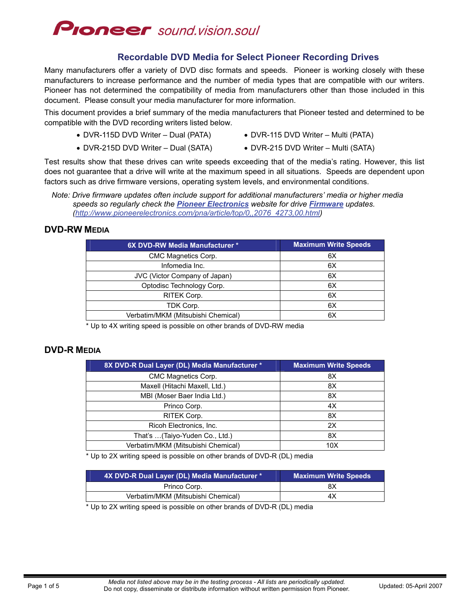

### **Recordable DVD Media for Select Pioneer Recording Drives**

Many manufacturers offer a variety of DVD disc formats and speeds. Pioneer is working closely with these manufacturers to increase performance and the number of media types that are compatible with our writers. Pioneer has not determined the compatibility of media from manufacturers other than those included in this document. Please consult your media manufacturer for more information.

This document provides a brief summary of the media manufacturers that Pioneer tested and determined to be compatible with the DVD recording writers listed below.

- DVR-115D DVD Writer Dual (PATA) DVR-115 DVD Writer Multi (PATA)
- 
- DVR-215D DVD Writer Dual (SATA) DVR-215 DVD Writer Multi (SATA)
- 

Test results show that these drives can write speeds exceeding that of the media's rating. However, this list does not guarantee that a drive will write at the maximum speed in all situations. Speeds are dependent upon factors such as drive firmware versions, operating system levels, and environmental conditions.

#### **DVD-RW MEDIA**

| 6X DVD-RW Media Manufacturer *     | <b>Maximum Write Speeds</b> |
|------------------------------------|-----------------------------|
| CMC Magnetics Corp.                | 6X                          |
| Infomedia Inc.                     | 6X                          |
| JVC (Victor Company of Japan)      | 6X                          |
| Optodisc Technology Corp.          | 6X                          |
| RITEK Corp.                        | 6X                          |
| TDK Corp.                          | 6X                          |
| Verbatim/MKM (Mitsubishi Chemical) | 6X                          |
|                                    |                             |

\* Up to 4X writing speed is possible on other brands of DVD-RW media

#### **DVD-R MEDIA**

| 8X DVD-R Dual Layer (DL) Media Manufacturer * | <b>Maximum Write Speeds</b> |
|-----------------------------------------------|-----------------------------|
| CMC Magnetics Corp.                           | 8X                          |
| Maxell (Hitachi Maxell, Ltd.)                 | 8X                          |
| MBI (Moser Baer India Ltd.)                   | 8X                          |
| Princo Corp.                                  | 4X                          |
| RITEK Corp.                                   | 8X                          |
| Ricoh Electronics, Inc.                       | 2X                          |
| That's  (Taiyo-Yuden Co., Ltd.)               | 8X                          |
| Verbatim/MKM (Mitsubishi Chemical)            | 10 <sub>X</sub>             |

\* Up to 2X writing speed is possible on other brands of DVD-R (DL) media

| 4X DVD-R Dual Layer (DL) Media Manufacturer * | <b>Maximum Write Speeds</b> |
|-----------------------------------------------|-----------------------------|
| Princo Corp.                                  | 8Χ                          |
| Verbatim/MKM (Mitsubishi Chemical)            | 4Х                          |

\* Up to 2X writing speed is possible on other brands of DVD-R (DL) media

*Note: Drive firmware updates often include support for additional manufacturers' media or higher media speeds so regularly check the [Pioneer Electronics](http://www.pioneerelectronics.com/) website for drive [Firmware](http://www.pioneerelectronics.com/pna/article/top/0,,2076_4273,00.html) updates. ([http://www.pioneerelectronics.com/pna/article/top/0,,2076\\_4273,00.html\)](http://www.pioneerelectronics.com/pna/article/top/0,,2076_4273,00.html)*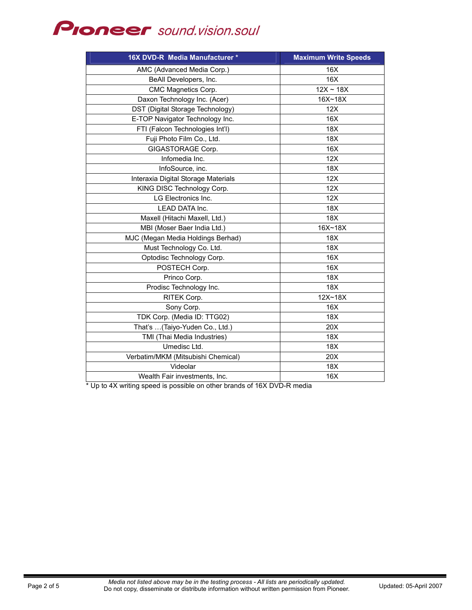# **PIONEEF** sound.vision.soul

| 16X DVD-R Media Manufacturer *      | <b>Maximum Write Speeds</b> |
|-------------------------------------|-----------------------------|
| AMC (Advanced Media Corp.)          | 16X                         |
| BeAll Developers, Inc.              | 16X                         |
| CMC Magnetics Corp.                 | $12X \sim 18X$              |
| Daxon Technology Inc. (Acer)        | 16X~18X                     |
| DST (Digital Storage Technology)    | 12X                         |
| E-TOP Navigator Technology Inc.     | 16X                         |
| FTI (Falcon Technologies Int'l)     | 18X                         |
| Fuji Photo Film Co., Ltd.           | 18X                         |
| GIGASTORAGE Corp.                   | 16X                         |
| Infomedia Inc.                      | 12X                         |
| InfoSource, inc.                    | 18X                         |
| Interaxia Digital Storage Materials | 12X                         |
| KING DISC Technology Corp.          | 12X                         |
| LG Electronics Inc.                 | 12X                         |
| <b>LEAD DATA Inc.</b>               | 18X                         |
| Maxell (Hitachi Maxell, Ltd.)       | 18X                         |
| MBI (Moser Baer India Ltd.)         | 16X~18X                     |
| MJC (Megan Media Holdings Berhad)   | 18X                         |
| Must Technology Co. Ltd.            | 18X                         |
| Optodisc Technology Corp.           | 16X                         |
| POSTECH Corp.                       | 16X                         |
| Princo Corp.                        | 18X                         |
| Prodisc Technology Inc.             | 18X                         |
| RITEK Corp.                         | $12X - 18X$                 |
| Sony Corp.                          | 16X                         |
| TDK Corp. (Media ID: TTG02)         | 18X                         |
| That's (Taiyo-Yuden Co., Ltd.)      | 20X                         |
| TMI (Thai Media Industries)         | 18X                         |
| Umedisc Ltd.                        | 18X                         |
| Verbatim/MKM (Mitsubishi Chemical)  | 20X                         |
| Videolar                            | 18X                         |
| Wealth Fair investments, Inc.       | 16X                         |

\* Up to 4X writing speed is possible on other brands of 16X DVD-R media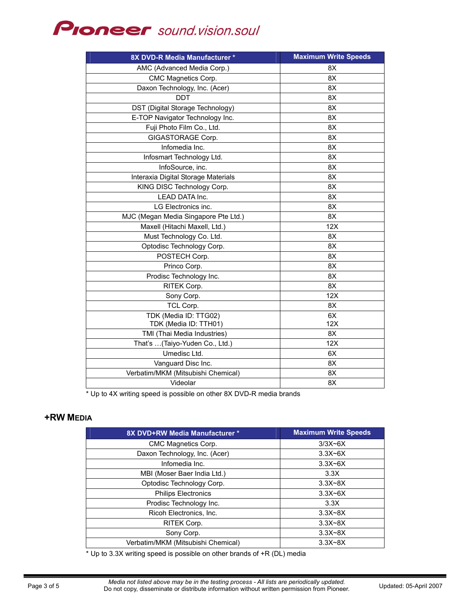## **Proneer** sound.vision.soul

| 8X DVD-R Media Manufacturer *        | <b>Maximum Write Speeds</b> |
|--------------------------------------|-----------------------------|
| AMC (Advanced Media Corp.)           | 8X                          |
| CMC Magnetics Corp.                  | 8X                          |
| Daxon Technology, Inc. (Acer)        | 8X                          |
| <b>DDT</b>                           | 8X                          |
| DST (Digital Storage Technology)     | 8X                          |
| E-TOP Navigator Technology Inc.      | 8X                          |
| Fuji Photo Film Co., Ltd.            | 8X                          |
| GIGASTORAGE Corp.                    | 8X                          |
| Infomedia Inc.                       | 8X                          |
| Infosmart Technology Ltd.            | 8X                          |
| InfoSource, inc.                     | 8X                          |
| Interaxia Digital Storage Materials  | 8X                          |
| KING DISC Technology Corp.           | 8X                          |
| LEAD DATA Inc.                       | 8X                          |
| LG Electronics inc.                  | 8X                          |
| MJC (Megan Media Singapore Pte Ltd.) | 8X                          |
| Maxell (Hitachi Maxell, Ltd.)        | 12X                         |
| Must Technology Co. Ltd.             | 8X                          |
| Optodisc Technology Corp.            | 8X                          |
| POSTECH Corp.                        | 8X                          |
| Princo Corp.                         | 8X                          |
| Prodisc Technology Inc.              | 8X                          |
| RITEK Corp.                          | 8X                          |
| Sony Corp.                           | 12X                         |
| TCL Corp.                            | 8X                          |
| TDK (Media ID: TTG02)                | 6X                          |
| TDK (Media ID: TTH01)                | 12X                         |
| TMI (Thai Media Industries)          | 8X                          |
| That's  (Taiyo-Yuden Co., Ltd.)      | 12X                         |
| Umedisc Ltd.                         | 6X                          |
| Vanguard Disc Inc.                   | 8X                          |
| Verbatim/MKM (Mitsubishi Chemical)   | 8X                          |
| Videolar                             | 8X                          |

\* Up to 4X writing speed is possible on other 8X DVD-R media brands

### **+RW MEDIA**

| 8X DVD+RW Media Manufacturer *     | <b>Maximum Write Speeds</b> |
|------------------------------------|-----------------------------|
| CMC Magnetics Corp.                | $3/3X-6X$                   |
| Daxon Technology, Inc. (Acer)      | $3.3X-6X$                   |
| Infomedia Inc.                     | $3.3X-6X$                   |
| MBI (Moser Baer India Ltd.)        | 3.3X                        |
| Optodisc Technology Corp.          | $3.3X - 8X$                 |
| <b>Philips Electronics</b>         | $3.3X-6X$                   |
| Prodisc Technology Inc.            | 3.3X                        |
| Ricoh Electronics, Inc.            | $3.3X-8X$                   |
| RITEK Corp.                        | $3.3X-8X$                   |
| Sony Corp.                         | $3.3X-8X$                   |
| Verbatim/MKM (Mitsubishi Chemical) | $3.3X-8X$                   |

\* Up to 3.3X writing speed is possible on other brands of +R (DL) media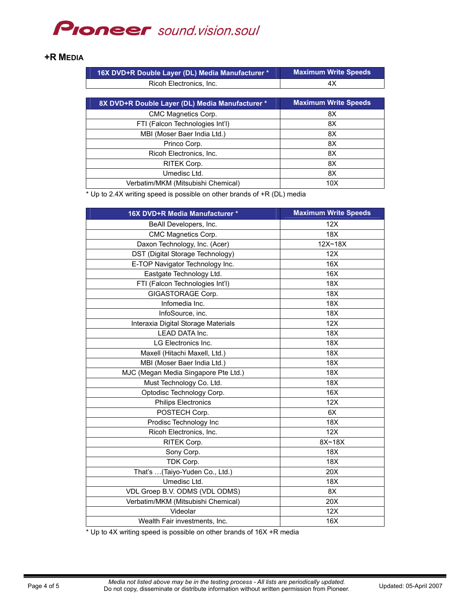## **PIONEEF** sound.vision.soul

#### **+R MEDIA**

| 16X DVD+R Double Layer (DL) Media Manufacturer * | <b>Maximum Write Speeds</b> |
|--------------------------------------------------|-----------------------------|
| Ricoh Electronics, Inc.                          | 4X                          |
|                                                  |                             |
| 8X DVD+R Double Layer (DL) Media Manufacturer *  | <b>Maximum Write Speeds</b> |
| CMC Magnetics Corp.                              | 8X                          |
| FTI (Falcon Technologies Int'l)                  | 8X                          |
| MBI (Moser Baer India Ltd.)                      | 8X                          |
| Princo Corp.                                     | 8X                          |
| Ricoh Electronics, Inc.                          | 8X                          |
| RITEK Corp.                                      | 8X                          |
| Umedisc Ltd.                                     | 8X                          |
| Verbatim/MKM (Mitsubishi Chemical)               | 10 <sub>X</sub>             |

\* Up to 2.4X writing speed is possible on other brands of +R (DL) media

| 16X DVD+R Media Manufacturer *       | <b>Maximum Write Speeds</b> |
|--------------------------------------|-----------------------------|
| BeAll Developers, Inc.               | 12X                         |
| CMC Magnetics Corp.                  | 18X                         |
| Daxon Technology, Inc. (Acer)        | 12X~18X                     |
| DST (Digital Storage Technology)     | 12X                         |
| E-TOP Navigator Technology Inc.      | 16X                         |
| Eastgate Technology Ltd.             | 16X                         |
| FTI (Falcon Technologies Int'l)      | 18X                         |
| GIGASTORAGE Corp.                    | 18X                         |
| Infomedia Inc.                       | 18X                         |
| InfoSource, inc.                     | 18 <sub>X</sub>             |
| Interaxia Digital Storage Materials  | 12X                         |
| LEAD DATA Inc.                       | 18X                         |
| LG Electronics Inc.                  | 18X                         |
| Maxell (Hitachi Maxell, Ltd.)        | 18X                         |
| MBI (Moser Baer India Ltd.)          | 18X                         |
| MJC (Megan Media Singapore Pte Ltd.) | 18X                         |
| Must Technology Co. Ltd.             | 18 <sub>X</sub>             |
| Optodisc Technology Corp.            | 16X                         |
| Philips Electronics                  | 12X                         |
| POSTECH Corp.                        | 6X                          |
| Prodisc Technology Inc               | 18X                         |
| Ricoh Electronics, Inc.              | 12X                         |
| RITEK Corp.                          | 8X~18X                      |
| Sony Corp.                           | 18X                         |
| TDK Corp.                            | 18X                         |
| That's  (Taiyo-Yuden Co., Ltd.)      | 20X                         |
| Umedisc Ltd.                         | 18X                         |
| VDL Groep B.V. ODMS (VDL ODMS)       | 8X                          |
| Verbatim/MKM (Mitsubishi Chemical)   | 20X                         |
| Videolar                             | 12X                         |
| Wealth Fair investments, Inc.        | 16X                         |

\* Up to 4X writing speed is possible on other brands of 16X +R media